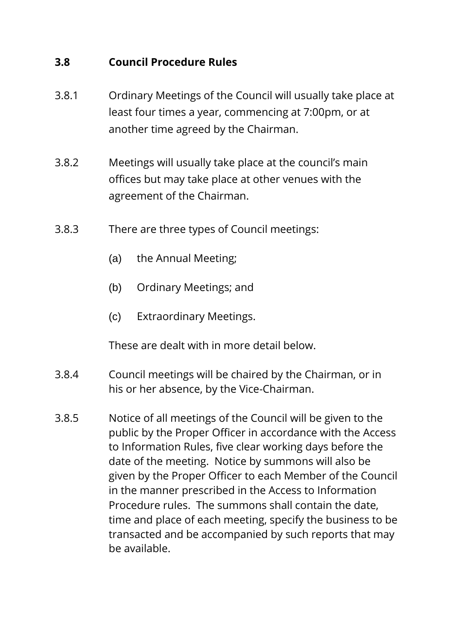#### **3.8 Council Procedure Rules**

- 3.8.1 Ordinary Meetings of the Council will usually take place at least four times a year, commencing at 7:00pm, or at another time agreed by the Chairman.
- 3.8.2 Meetings will usually take place at the council's main offices but may take place at other venues with the agreement of the Chairman.
- 3.8.3 There are three types of Council meetings:
	- (a) the Annual Meeting;
	- (b) Ordinary Meetings; and
	- (c) Extraordinary Meetings.

These are dealt with in more detail below.

- 3.8.4 Council meetings will be chaired by the Chairman, or in his or her absence, by the Vice-Chairman.
- 3.8.5 Notice of all meetings of the Council will be given to the public by the Proper Officer in accordance with the Access to Information Rules, five clear working days before the date of the meeting. Notice by summons will also be given by the Proper Officer to each Member of the Council in the manner prescribed in the Access to Information Procedure rules. The summons shall contain the date, time and place of each meeting, specify the business to be transacted and be accompanied by such reports that may be available.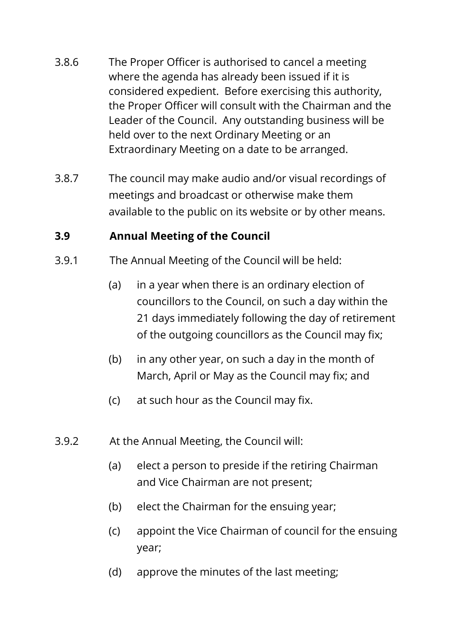- 3.8.6 The Proper Officer is authorised to cancel a meeting where the agenda has already been issued if it is considered expedient. Before exercising this authority, the Proper Officer will consult with the Chairman and the Leader of the Council. Any outstanding business will be held over to the next Ordinary Meeting or an Extraordinary Meeting on a date to be arranged.
- 3.8.7 The council may make audio and/or visual recordings of meetings and broadcast or otherwise make them available to the public on its website or by other means.

### **3.9 Annual Meeting of the Council**

- 3.9.1 The Annual Meeting of the Council will be held:
	- (a) in a year when there is an ordinary election of councillors to the Council, on such a day within the 21 days immediately following the day of retirement of the outgoing councillors as the Council may fix;
	- (b) in any other year, on such a day in the month of March, April or May as the Council may fix; and
	- (c) at such hour as the Council may fix.
- 3.9.2 At the Annual Meeting, the Council will:
	- (a) elect a person to preside if the retiring Chairman and Vice Chairman are not present;
	- (b) elect the Chairman for the ensuing year;
	- (c) appoint the Vice Chairman of council for the ensuing year;
	- (d) approve the minutes of the last meeting;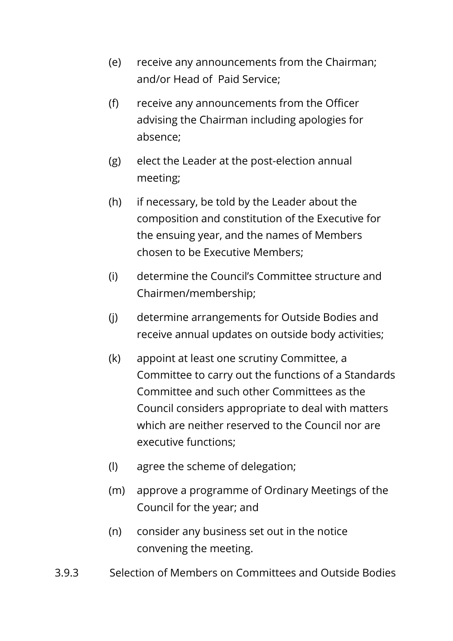- (e) receive any announcements from the Chairman; and/or Head of Paid Service;
- (f) receive any announcements from the Officer advising the Chairman including apologies for absence;
- (g) elect the Leader at the post-election annual meeting;
- (h) if necessary, be told by the Leader about the composition and constitution of the Executive for the ensuing year, and the names of Members chosen to be Executive Members;
- (i) determine the Council's Committee structure and Chairmen/membership;
- (j) determine arrangements for Outside Bodies and receive annual updates on outside body activities;
- (k) appoint at least one scrutiny Committee, a Committee to carry out the functions of a Standards Committee and such other Committees as the Council considers appropriate to deal with matters which are neither reserved to the Council nor are executive functions;
- (l) agree the scheme of delegation;
- (m) approve a programme of Ordinary Meetings of the Council for the year; and
- (n) consider any business set out in the notice convening the meeting.
- 3.9.3 Selection of Members on Committees and Outside Bodies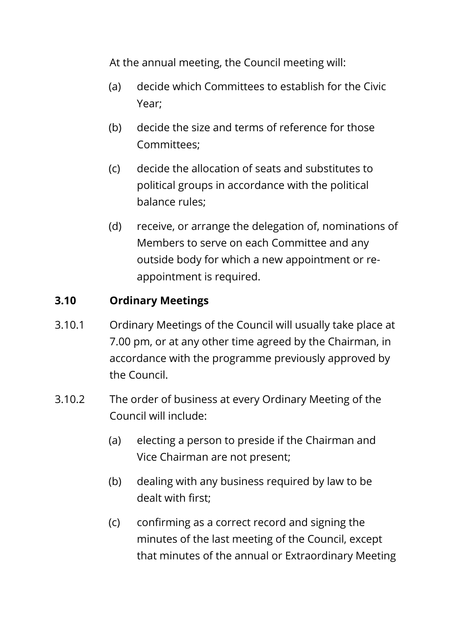At the annual meeting, the Council meeting will:

- (a) decide which Committees to establish for the Civic Year;
- (b) decide the size and terms of reference for those Committees;
- (c) decide the allocation of seats and substitutes to political groups in accordance with the political balance rules;
- (d) receive, or arrange the delegation of, nominations of Members to serve on each Committee and any outside body for which a new appointment or reappointment is required.

#### **3.10 Ordinary Meetings**

- 3.10.1 Ordinary Meetings of the Council will usually take place at 7.00 pm, or at any other time agreed by the Chairman, in accordance with the programme previously approved by the Council.
- 3.10.2 The order of business at every Ordinary Meeting of the Council will include:
	- (a) electing a person to preside if the Chairman and Vice Chairman are not present;
	- (b) dealing with any business required by law to be dealt with first;
	- (c) confirming as a correct record and signing the minutes of the last meeting of the Council, except that minutes of the annual or Extraordinary Meeting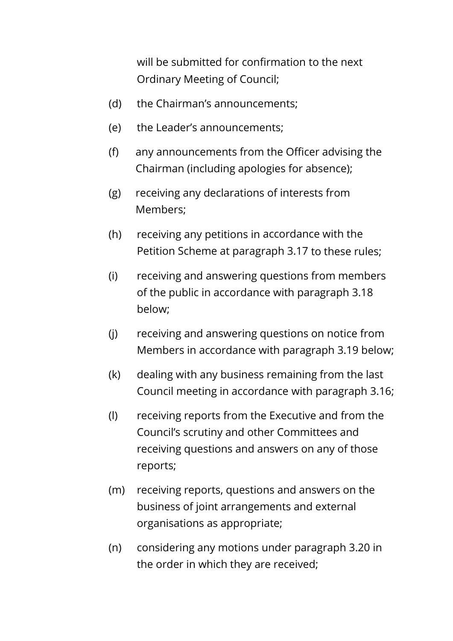will be submitted for confirmation to the next Ordinary Meeting of Council;

- (d) the Chairman's announcements;
- (e) the Leader's announcements;
- (f) any announcements from the Officer advising the Chairman (including apologies for absence);
- (g) receiving any declarations of interests from Members;
- (h) receiving any petitions in accordance with the Petition Scheme at paragraph 3.17 to these rules;
- (i) receiving and answering questions from members of the public in accordance with paragraph 3.18 below;
- (j) receiving and answering questions on notice from Members in accordance with paragraph 3.19 below;
- (k) dealing with any business remaining from the last Council meeting in accordance with paragraph 3.16;
- (l) receiving reports from the Executive and from the Council's scrutiny and other Committees and receiving questions and answers on any of those reports;
- (m) receiving reports, questions and answers on the business of joint arrangements and external organisations as appropriate;
- (n) considering any motions under paragraph 3.20 in the order in which they are received;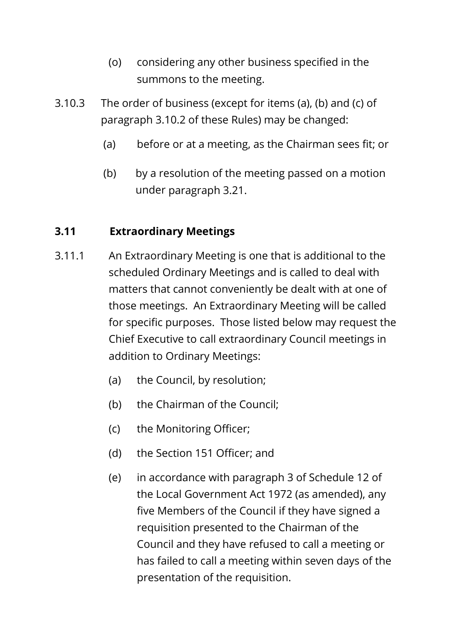- (o) considering any other business specified in the summons to the meeting.
- 3.10.3 The order of business (except for items (a), (b) and (c) of paragraph 3.10.2 of these Rules) may be changed:
	- (a) before or at a meeting, as the Chairman sees fit; or
	- (b) by a resolution of the meeting passed on a motion under paragraph 3.21.

## **3.11 Extraordinary Meetings**

- 3.11.1 An Extraordinary Meeting is one that is additional to the scheduled Ordinary Meetings and is called to deal with matters that cannot conveniently be dealt with at one of those meetings. An Extraordinary Meeting will be called for specific purposes. Those listed below may request the Chief Executive to call extraordinary Council meetings in addition to Ordinary Meetings:
	- (a) the Council, by resolution;
	- (b) the Chairman of the Council;
	- (c) the Monitoring Officer;
	- (d) the Section 151 Officer; and
	- (e) in accordance with paragraph 3 of Schedule 12 of the Local Government Act 1972 (as amended), any five Members of the Council if they have signed a requisition presented to the Chairman of the Council and they have refused to call a meeting or has failed to call a meeting within seven days of the presentation of the requisition.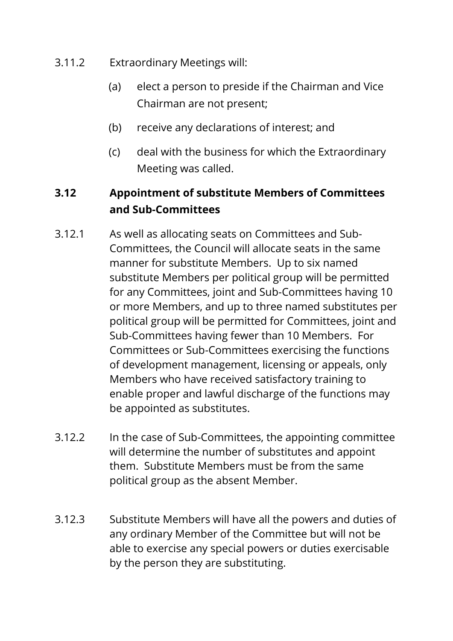- 3.11.2 Extraordinary Meetings will:
	- (a) elect a person to preside if the Chairman and Vice Chairman are not present;
	- (b) receive any declarations of interest; and
	- (c) deal with the business for which the Extraordinary Meeting was called.

## **3.12 Appointment of substitute Members of Committees and Sub-Committees**

- 3.12.1 As well as allocating seats on Committees and Sub-Committees, the Council will allocate seats in the same manner for substitute Members. Up to six named substitute Members per political group will be permitted for any Committees, joint and Sub-Committees having 10 or more Members, and up to three named substitutes per political group will be permitted for Committees, joint and Sub-Committees having fewer than 10 Members. For Committees or Sub-Committees exercising the functions of development management, licensing or appeals, only Members who have received satisfactory training to enable proper and lawful discharge of the functions may be appointed as substitutes.
- 3.12.2 In the case of Sub-Committees, the appointing committee will determine the number of substitutes and appoint them. Substitute Members must be from the same political group as the absent Member.
- 3.12.3 Substitute Members will have all the powers and duties of any ordinary Member of the Committee but will not be able to exercise any special powers or duties exercisable by the person they are substituting.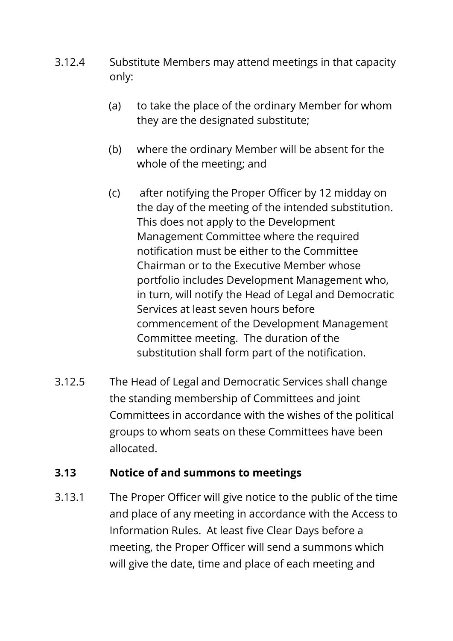- 3.12.4 Substitute Members may attend meetings in that capacity only:
	- (a) to take the place of the ordinary Member for whom they are the designated substitute;
	- (b) where the ordinary Member will be absent for the whole of the meeting; and
	- (c) after notifying the Proper Officer by 12 midday on the day of the meeting of the intended substitution. This does not apply to the Development Management Committee where the required notification must be either to the Committee Chairman or to the Executive Member whose portfolio includes Development Management who, in turn, will notify the Head of Legal and Democratic Services at least seven hours before commencement of the Development Management Committee meeting. The duration of the substitution shall form part of the notification.
- 3.12.5 The Head of Legal and Democratic Services shall change the standing membership of Committees and joint Committees in accordance with the wishes of the political groups to whom seats on these Committees have been allocated.

### **3.13 Notice of and summons to meetings**

3.13.1 The Proper Officer will give notice to the public of the time and place of any meeting in accordance with the Access to Information Rules. At least five Clear Days before a meeting, the Proper Officer will send a summons which will give the date, time and place of each meeting and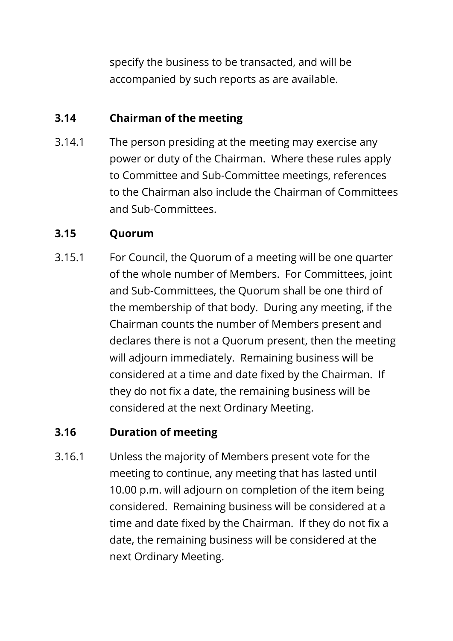specify the business to be transacted, and will be accompanied by such reports as are available.

### **3.14 Chairman of the meeting**

3.14.1 The person presiding at the meeting may exercise any power or duty of the Chairman. Where these rules apply to Committee and Sub-Committee meetings, references to the Chairman also include the Chairman of Committees and Sub-Committees.

## **3.15 Quorum**

3.15.1 For Council, the Quorum of a meeting will be one quarter of the whole number of Members. For Committees, joint and Sub-Committees, the Quorum shall be one third of the membership of that body. During any meeting, if the Chairman counts the number of Members present and declares there is not a Quorum present, then the meeting will adjourn immediately. Remaining business will be considered at a time and date fixed by the Chairman. If they do not fix a date, the remaining business will be considered at the next Ordinary Meeting.

### **3.16 Duration of meeting**

3.16.1 Unless the majority of Members present vote for the meeting to continue, any meeting that has lasted until 10.00 p.m. will adjourn on completion of the item being considered. Remaining business will be considered at a time and date fixed by the Chairman. If they do not fix a date, the remaining business will be considered at the next Ordinary Meeting.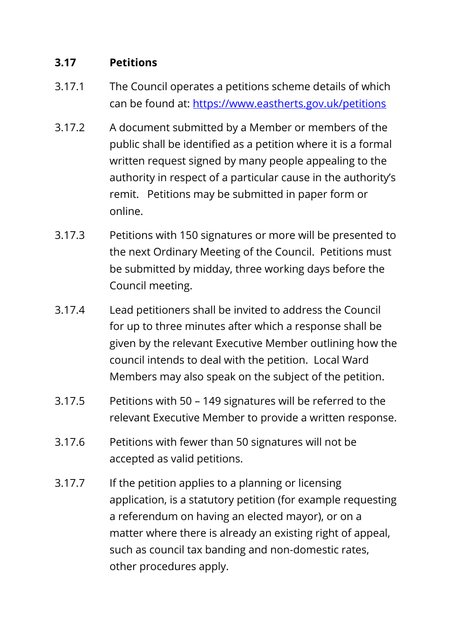## **3.17 Petitions**

- 3.17.1 The Council operates a petitions scheme details of which can be found at:<https://www.eastherts.gov.uk/petitions>
- 3.17.2 A document submitted by a Member or members of the public shall be identified as a petition where it is a formal written request signed by many people appealing to the authority in respect of a particular cause in the authority's remit. Petitions may be submitted in paper form or online.
- 3.17.3 Petitions with 150 signatures or more will be presented to the next Ordinary Meeting of the Council. Petitions must be submitted by midday, three working days before the Council meeting.
- 3.17.4 Lead petitioners shall be invited to address the Council for up to three minutes after which a response shall be given by the relevant Executive Member outlining how the council intends to deal with the petition. Local Ward Members may also speak on the subject of the petition.
- 3.17.5 Petitions with 50 149 signatures will be referred to the relevant Executive Member to provide a written response.
- 3.17.6 Petitions with fewer than 50 signatures will not be accepted as valid petitions.
- 3.17.7 If the petition applies to a planning or licensing application, is a statutory petition (for example requesting a referendum on having an elected mayor), or on a matter where there is already an existing right of appeal, such as council tax banding and non-domestic rates, other procedures apply.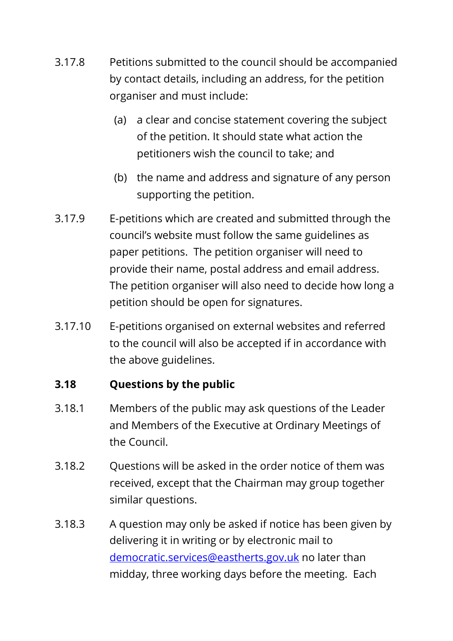- 3.17.8 Petitions submitted to the council should be accompanied by contact details, including an address, for the petition organiser and must include:
	- (a) a clear and concise statement covering the subject of the petition. It should state what action the petitioners wish the council to take; and
	- (b) the name and address and signature of any person supporting the petition.
- 3.17.9 E-petitions which are created and submitted through the council's website must follow the same guidelines as paper petitions. The petition organiser will need to provide their name, postal address and email address. The petition organiser will also need to decide how long a petition should be open for signatures.
- 3.17.10 E-petitions organised on external websites and referred to the council will also be accepted if in accordance with the above guidelines.

## **3.18 Questions by the public**

- 3.18.1 Members of the public may ask questions of the Leader and Members of the Executive at Ordinary Meetings of the Council.
- 3.18.2 Questions will be asked in the order notice of them was received, except that the Chairman may group together similar questions.
- 3.18.3 A question may only be asked if notice has been given by delivering it in writing or by electronic mail to [democratic.services@eastherts.gov.uk](mailto:democratic.services@eastherts.gov.uk) no later than midday, three working days before the meeting. Each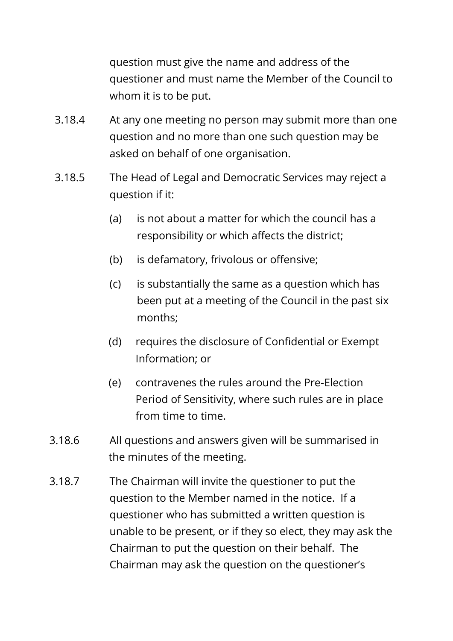question must give the name and address of the questioner and must name the Member of the Council to whom it is to be put.

- 3.18.4 At any one meeting no person may submit more than one question and no more than one such question may be asked on behalf of one organisation.
- 3.18.5 The Head of Legal and Democratic Services may reject a question if it:
	- (a) is not about a matter for which the council has a responsibility or which affects the district;
	- (b) is defamatory, frivolous or offensive;
	- (c) is substantially the same as a question which has been put at a meeting of the Council in the past six months;
	- (d) requires the disclosure of Confidential or Exempt Information; or
	- (e) contravenes the rules around the Pre-Election Period of Sensitivity, where such rules are in place from time to time.
- 3.18.6 All questions and answers given will be summarised in the minutes of the meeting.
- 3.18.7 The Chairman will invite the questioner to put the question to the Member named in the notice. If a questioner who has submitted a written question is unable to be present, or if they so elect, they may ask the Chairman to put the question on their behalf. The Chairman may ask the question on the questioner's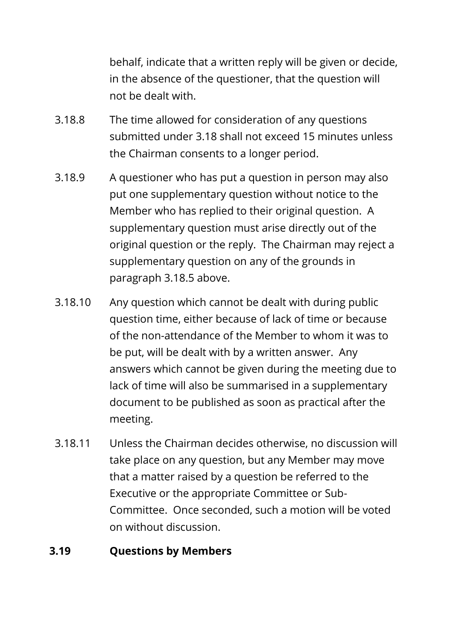behalf, indicate that a written reply will be given or decide, in the absence of the questioner, that the question will not be dealt with.

- 3.18.8 The time allowed for consideration of any questions submitted under 3.18 shall not exceed 15 minutes unless the Chairman consents to a longer period.
- 3.18.9 A questioner who has put a question in person may also put one supplementary question without notice to the Member who has replied to their original question. A supplementary question must arise directly out of the original question or the reply. The Chairman may reject a supplementary question on any of the grounds in paragraph 3.18.5 above.
- 3.18.10 Any question which cannot be dealt with during public question time, either because of lack of time or because of the non-attendance of the Member to whom it was to be put, will be dealt with by a written answer. Any answers which cannot be given during the meeting due to lack of time will also be summarised in a supplementary document to be published as soon as practical after the meeting.
- 3.18.11 Unless the Chairman decides otherwise, no discussion will take place on any question, but any Member may move that a matter raised by a question be referred to the Executive or the appropriate Committee or Sub-Committee. Once seconded, such a motion will be voted on without discussion.

### **3.19 Questions by Members**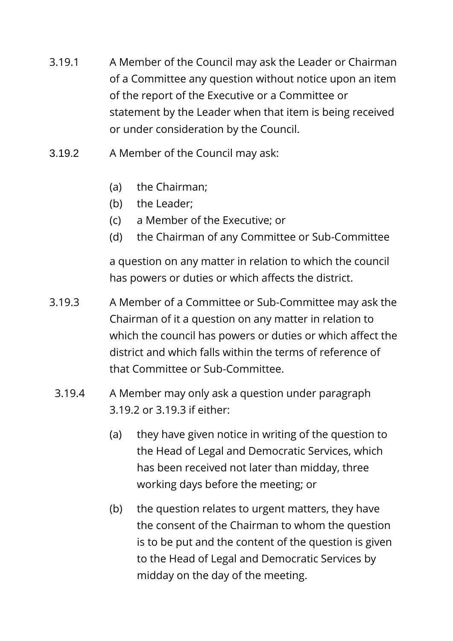- 3.19.1 A Member of the Council may ask the Leader or Chairman of a Committee any question without notice upon an item of the report of the Executive or a Committee or statement by the Leader when that item is being received or under consideration by the Council.
- 3.19.2 A Member of the Council may ask:
	- (a) the Chairman;
	- (b) the Leader;
	- (c) a Member of the Executive; or
	- (d) the Chairman of any Committee or Sub-Committee

a question on any matter in relation to which the council has powers or duties or which affects the district.

- 3.19.3 A Member of a Committee or Sub-Committee may ask the Chairman of it a question on any matter in relation to which the council has powers or duties or which affect the district and which falls within the terms of reference of that Committee or Sub-Committee.
- 3.19.4 A Member may only ask a question under paragraph 3.19.2 or 3.19.3 if either:
	- (a) they have given notice in writing of the question to the Head of Legal and Democratic Services, which has been received not later than midday, three working days before the meeting; or
	- (b) the question relates to urgent matters, they have the consent of the Chairman to whom the question is to be put and the content of the question is given to the Head of Legal and Democratic Services by midday on the day of the meeting.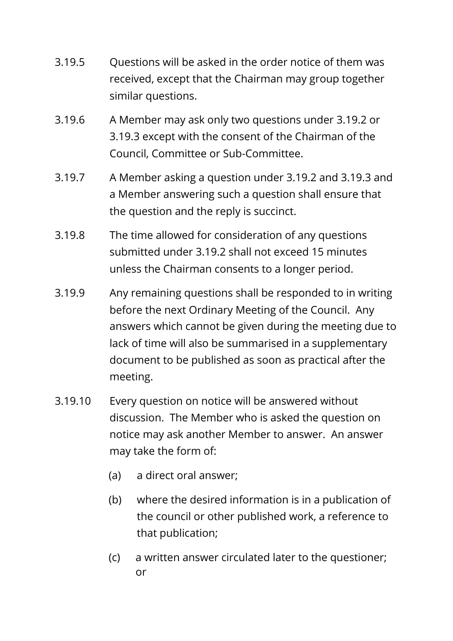- 3.19.5 Questions will be asked in the order notice of them was received, except that the Chairman may group together similar questions.
- 3.19.6 A Member may ask only two questions under 3.19.2 or 3.19.3 except with the consent of the Chairman of the Council, Committee or Sub-Committee.
- 3.19.7 A Member asking a question under 3.19.2 and 3.19.3 and a Member answering such a question shall ensure that the question and the reply is succinct.
- 3.19.8 The time allowed for consideration of any questions submitted under 3.19.2 shall not exceed 15 minutes unless the Chairman consents to a longer period.
- 3.19.9 Any remaining questions shall be responded to in writing before the next Ordinary Meeting of the Council. Any answers which cannot be given during the meeting due to lack of time will also be summarised in a supplementary document to be published as soon as practical after the meeting.
- 3.19.10 Every question on notice will be answered without discussion. The Member who is asked the question on notice may ask another Member to answer. An answer may take the form of:
	- (a) a direct oral answer;
	- (b) where the desired information is in a publication of the council or other published work, a reference to that publication;
	- (c) a written answer circulated later to the questioner; or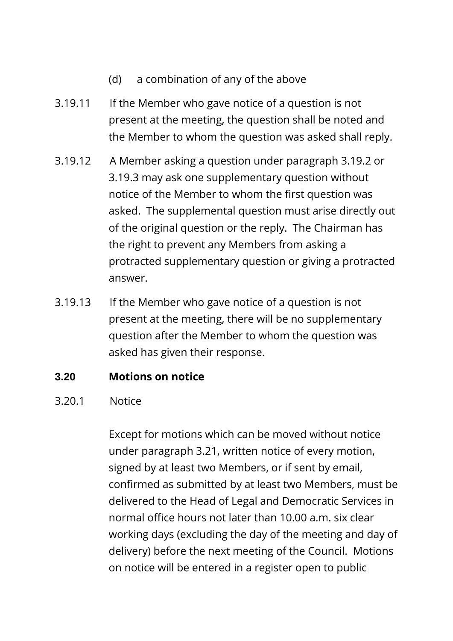- (d) a combination of any of the above
- 3.19.11 If the Member who gave notice of a question is not present at the meeting, the question shall be noted and the Member to whom the question was asked shall reply.
- 3.19.12 A Member asking a question under paragraph 3.19.2 or 3.19.3 may ask one supplementary question without notice of the Member to whom the first question was asked. The supplemental question must arise directly out of the original question or the reply. The Chairman has the right to prevent any Members from asking a protracted supplementary question or giving a protracted answer.
- 3.19.13 If the Member who gave notice of a question is not present at the meeting, there will be no supplementary question after the Member to whom the question was asked has given their response.

#### **3.20 Motions on notice**

#### 3.20.1 Notice

Except for motions which can be moved without notice under paragraph 3.21, written notice of every motion, signed by at least two Members, or if sent by email, confirmed as submitted by at least two Members, must be delivered to the Head of Legal and Democratic Services in normal office hours not later than 10.00 a.m. six clear working days (excluding the day of the meeting and day of delivery) before the next meeting of the Council. Motions on notice will be entered in a register open to public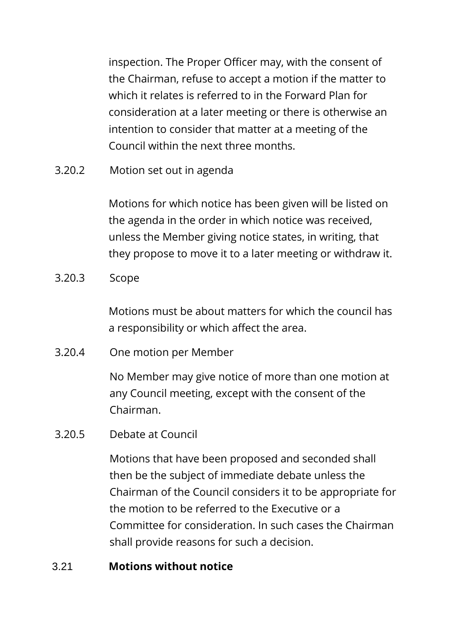inspection. The Proper Officer may, with the consent of the Chairman, refuse to accept a motion if the matter to which it relates is referred to in the Forward Plan for consideration at a later meeting or there is otherwise an intention to consider that matter at a meeting of the Council within the next three months.

3.20.2 Motion set out in agenda

Motions for which notice has been given will be listed on the agenda in the order in which notice was received, unless the Member giving notice states, in writing, that they propose to move it to a later meeting or withdraw it.

3.20.3 Scope

Motions must be about matters for which the council has a responsibility or which affect the area.

3.20.4 One motion per Member

No Member may give notice of more than one motion at any Council meeting, except with the consent of the Chairman.

3.20.5 Debate at Council

Motions that have been proposed and seconded shall then be the subject of immediate debate unless the Chairman of the Council considers it to be appropriate for the motion to be referred to the Executive or a Committee for consideration. In such cases the Chairman shall provide reasons for such a decision.

#### 3.21 **Motions without notice**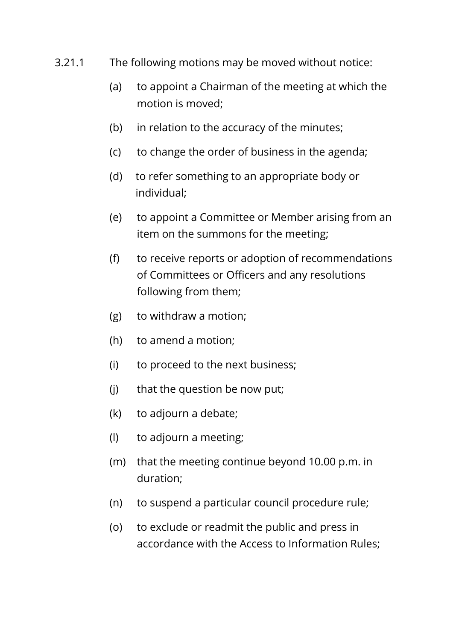- 3.21.1 The following motions may be moved without notice:
	- (a) to appoint a Chairman of the meeting at which the motion is moved;
	- (b) in relation to the accuracy of the minutes;
	- (c) to change the order of business in the agenda;
	- (d) to refer something to an appropriate body or individual;
	- (e) to appoint a Committee or Member arising from an item on the summons for the meeting;
	- (f) to receive reports or adoption of recommendations of Committees or Officers and any resolutions following from them;
	- (g) to withdraw a motion;
	- (h) to amend a motion;
	- (i) to proceed to the next business;
	- (j) that the question be now put;
	- (k) to adjourn a debate;
	- (l) to adjourn a meeting;
	- (m) that the meeting continue beyond 10.00 p.m. in duration;
	- (n) to suspend a particular council procedure rule;
	- (o) to exclude or readmit the public and press in accordance with the Access to Information Rules;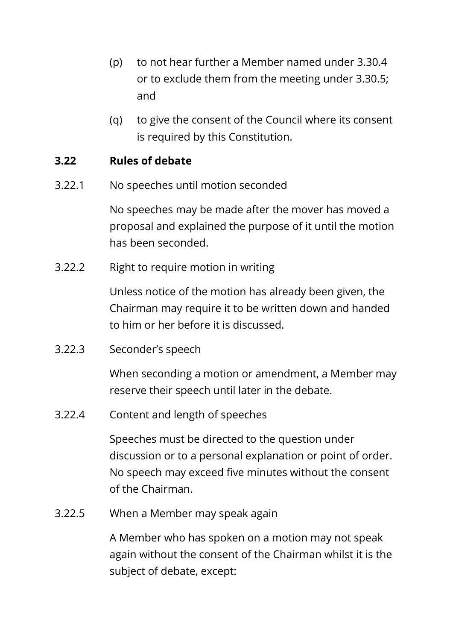- (p) to not hear further a Member named under 3.30.4 or to exclude them from the meeting under 3.30.5; and
- (q) to give the consent of the Council where its consent is required by this Constitution.

#### **3.22 Rules of debate**

3.22.1 No speeches until motion seconded

No speeches may be made after the mover has moved a proposal and explained the purpose of it until the motion has been seconded.

3.22.2 Right to require motion in writing

Unless notice of the motion has already been given, the Chairman may require it to be written down and handed to him or her before it is discussed.

3.22.3 Seconder's speech

When seconding a motion or amendment, a Member may reserve their speech until later in the debate.

3.22.4 Content and length of speeches

Speeches must be directed to the question under discussion or to a personal explanation or point of order. No speech may exceed five minutes without the consent of the Chairman.

3.22.5 When a Member may speak again

A Member who has spoken on a motion may not speak again without the consent of the Chairman whilst it is the subject of debate, except: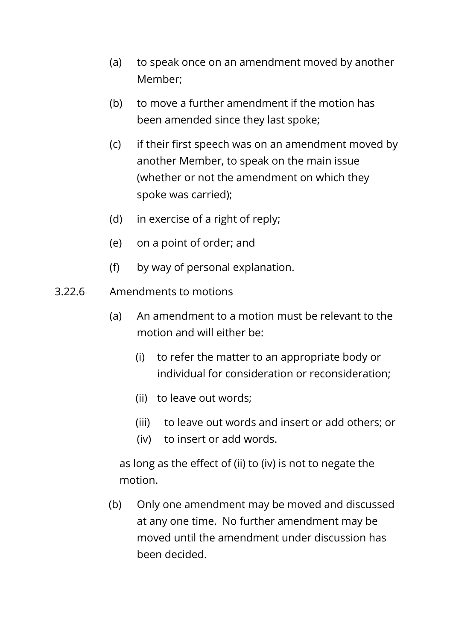- (a) to speak once on an amendment moved by another Member;
- (b) to move a further amendment if the motion has been amended since they last spoke;
- (c) if their first speech was on an amendment moved by another Member, to speak on the main issue (whether or not the amendment on which they spoke was carried);
- (d) in exercise of a right of reply;
- (e) on a point of order; and
- (f) by way of personal explanation.
- 3.22.6 Amendments to motions
	- (a) An amendment to a motion must be relevant to the motion and will either be:
		- (i) to refer the matter to an appropriate body or individual for consideration or reconsideration;
		- (ii) to leave out words;
		- (iii) to leave out words and insert or add others; or
		- (iv) to insert or add words.

as long as the effect of (ii) to (iv) is not to negate the motion.

(b) Only one amendment may be moved and discussed at any one time. No further amendment may be moved until the amendment under discussion has been decided.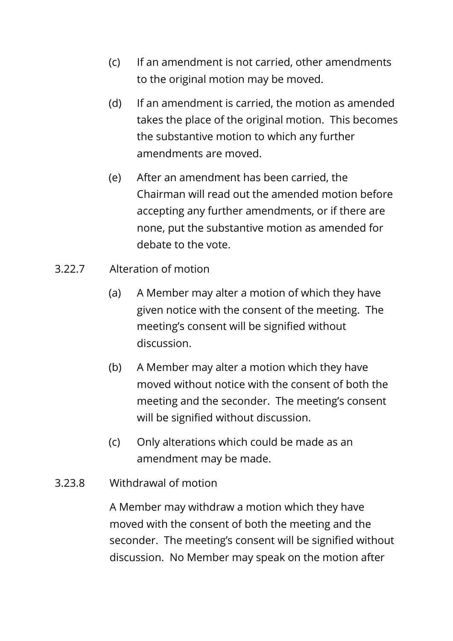- (c) If an amendment is not carried, other amendments to the original motion may be moved.
- (d) If an amendment is carried, the motion as amended takes the place of the original motion. This becomes the substantive motion to which any further amendments are moved.
- (e) After an amendment has been carried, the Chairman will read out the amended motion before accepting any further amendments, or if there are none, put the substantive motion as amended for debate to the vote.
- 3.22.7 Alteration of motion
	- (a) A Member may alter a motion of which they have given notice with the consent of the meeting. The meeting's consent will be signified without discussion.
	- (b) A Member may alter a motion which they have moved without notice with the consent of both the meeting and the seconder. The meeting's consent will be signified without discussion.
	- (c) Only alterations which could be made as an amendment may be made.
- 3.23.8 Withdrawal of motion

A Member may withdraw a motion which they have moved with the consent of both the meeting and the seconder. The meeting's consent will be signified without discussion. No Member may speak on the motion after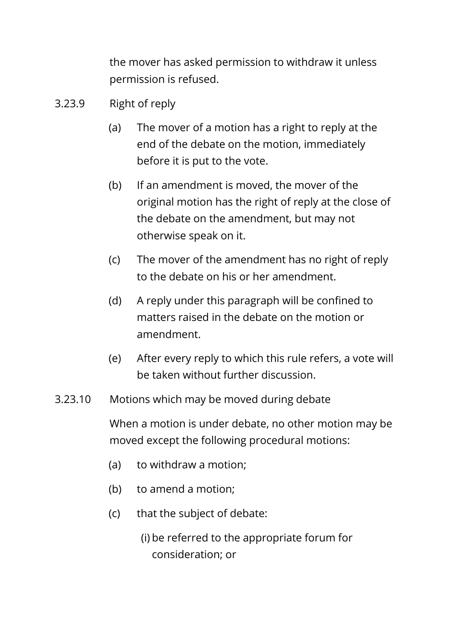the mover has asked permission to withdraw it unless permission is refused.

- 3.23.9 Right of reply
	- (a) The mover of a motion has a right to reply at the end of the debate on the motion, immediately before it is put to the vote.
	- (b) If an amendment is moved, the mover of the original motion has the right of reply at the close of the debate on the amendment, but may not otherwise speak on it.
	- (c) The mover of the amendment has no right of reply to the debate on his or her amendment.
	- (d) A reply under this paragraph will be confined to matters raised in the debate on the motion or amendment.
	- (e) After every reply to which this rule refers, a vote will be taken without further discussion.
- 3.23.10 Motions which may be moved during debate

When a motion is under debate, no other motion may be moved except the following procedural motions:

- (a) to withdraw a motion;
- (b) to amend a motion;
- (c) that the subject of debate:
	- (i) be referred to the appropriate forum for consideration; or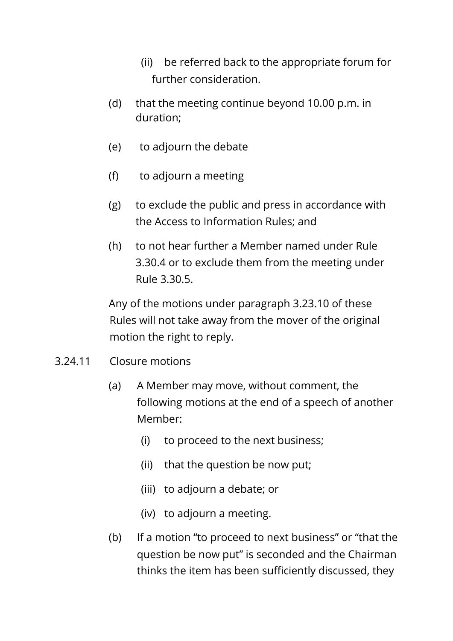- (ii) be referred back to the appropriate forum for further consideration.
- (d) that the meeting continue beyond 10.00 p.m. in duration;
- (e) to adjourn the debate
- (f) to adjourn a meeting
- (g) to exclude the public and press in accordance with the Access to Information Rules; and
- (h) to not hear further a Member named under Rule 3.30.4 or to exclude them from the meeting under Rule 3.30.5.

Any of the motions under paragraph 3.23.10 of these Rules will not take away from the mover of the original motion the right to reply.

- 3.24.11 Closure motions
	- (a) A Member may move, without comment, the following motions at the end of a speech of another Member:
		- (i) to proceed to the next business;
		- (ii) that the question be now put;
		- (iii) to adjourn a debate; or
		- (iv) to adjourn a meeting.
	- (b) If a motion "to proceed to next business" or "that the question be now put" is seconded and the Chairman thinks the item has been sufficiently discussed, they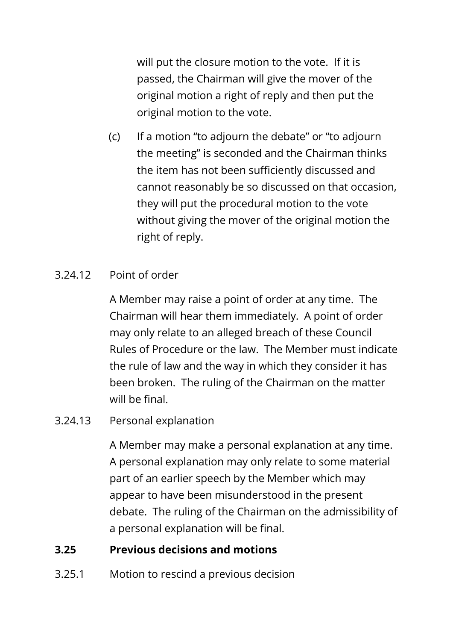will put the closure motion to the vote. If it is passed, the Chairman will give the mover of the original motion a right of reply and then put the original motion to the vote.

(c) If a motion "to adjourn the debate" or "to adjourn the meeting" is seconded and the Chairman thinks the item has not been sufficiently discussed and cannot reasonably be so discussed on that occasion, they will put the procedural motion to the vote without giving the mover of the original motion the right of reply.

## 3.24.12 Point of order

A Member may raise a point of order at any time. The Chairman will hear them immediately. A point of order may only relate to an alleged breach of these Council Rules of Procedure or the law. The Member must indicate the rule of law and the way in which they consider it has been broken. The ruling of the Chairman on the matter will be final.

### 3.24.13 Personal explanation

A Member may make a personal explanation at any time. A personal explanation may only relate to some material part of an earlier speech by the Member which may appear to have been misunderstood in the present debate. The ruling of the Chairman on the admissibility of a personal explanation will be final.

### **3.25 Previous decisions and motions**

3.25.1 Motion to rescind a previous decision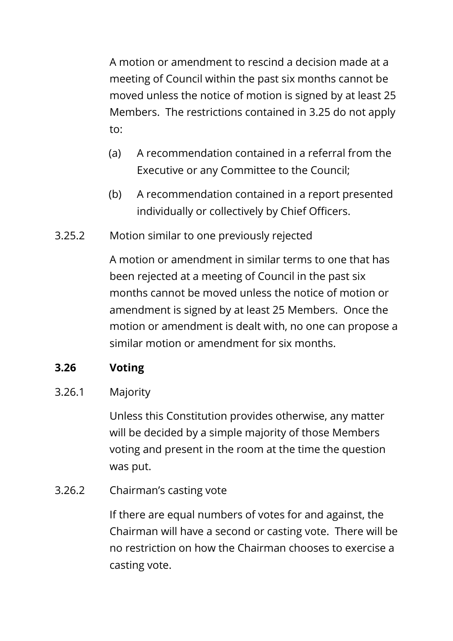A motion or amendment to rescind a decision made at a meeting of Council within the past six months cannot be moved unless the notice of motion is signed by at least 25 Members. The restrictions contained in 3.25 do not apply to:

- (a) A recommendation contained in a referral from the Executive or any Committee to the Council;
- (b) A recommendation contained in a report presented individually or collectively by Chief Officers.
- 3.25.2 Motion similar to one previously rejected

A motion or amendment in similar terms to one that has been rejected at a meeting of Council in the past six months cannot be moved unless the notice of motion or amendment is signed by at least 25 Members. Once the motion or amendment is dealt with, no one can propose a similar motion or amendment for six months.

## **3.26 Voting**

3.26.1 Majority

Unless this Constitution provides otherwise, any matter will be decided by a simple majority of those Members voting and present in the room at the time the question was put.

3.26.2 Chairman's casting vote

If there are equal numbers of votes for and against, the Chairman will have a second or casting vote. There will be no restriction on how the Chairman chooses to exercise a casting vote.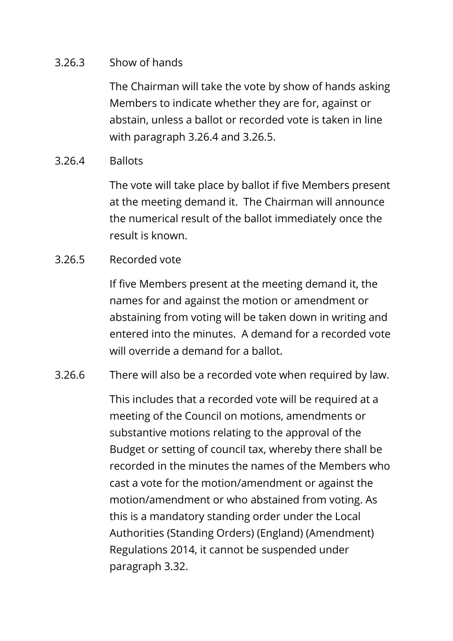#### 3.26.3 Show of hands

The Chairman will take the vote by show of hands asking Members to indicate whether they are for, against or abstain, unless a ballot or recorded vote is taken in line with paragraph 3.26.4 and 3.26.5.

#### 3.26.4 Ballots

The vote will take place by ballot if five Members present at the meeting demand it. The Chairman will announce the numerical result of the ballot immediately once the result is known.

#### 3.26.5 Recorded vote

If five Members present at the meeting demand it, the names for and against the motion or amendment or abstaining from voting will be taken down in writing and entered into the minutes. A demand for a recorded vote will override a demand for a ballot.

#### 3.26.6 There will also be a recorded vote when required by law.

This includes that a recorded vote will be required at a meeting of the Council on motions, amendments or substantive motions relating to the approval of the Budget or setting of council tax, whereby there shall be recorded in the minutes the names of the Members who cast a vote for the motion/amendment or against the motion/amendment or who abstained from voting. As this is a mandatory standing order under the Local Authorities (Standing Orders) (England) (Amendment) Regulations 2014, it cannot be suspended under paragraph 3.32.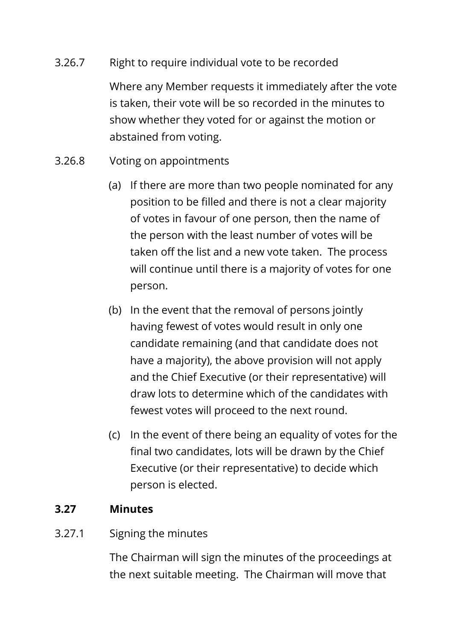#### 3.26.7 Right to require individual vote to be recorded

Where any Member requests it immediately after the vote is taken, their vote will be so recorded in the minutes to show whether they voted for or against the motion or abstained from voting.

- 3.26.8 Voting on appointments
	- (a) If there are more than two people nominated for any position to be filled and there is not a clear majority of votes in favour of one person, then the name of the person with the least number of votes will be taken off the list and a new vote taken. The process will continue until there is a majority of votes for one person.
	- (b) In the event that the removal of persons jointly having fewest of votes would result in only one candidate remaining (and that candidate does not have a majority), the above provision will not apply and the Chief Executive (or their representative) will draw lots to determine which of the candidates with fewest votes will proceed to the next round.
	- (c) In the event of there being an equality of votes for the final two candidates, lots will be drawn by the Chief Executive (or their representative) to decide which person is elected.

### **3.27 Minutes**

### 3.27.1 Signing the minutes

The Chairman will sign the minutes of the proceedings at the next suitable meeting. The Chairman will move that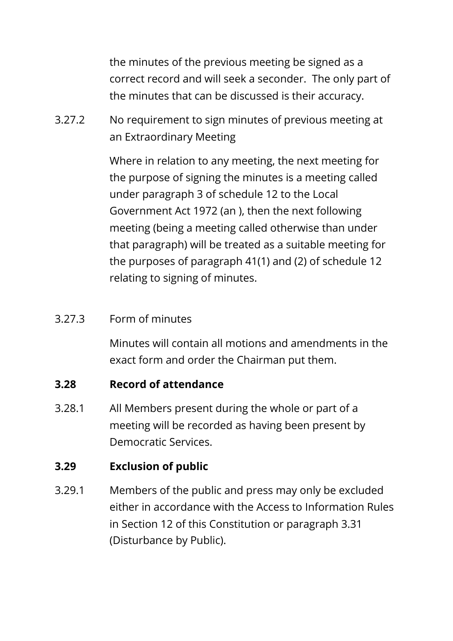the minutes of the previous meeting be signed as a correct record and will seek a seconder. The only part of the minutes that can be discussed is their accuracy.

3.27.2 No requirement to sign minutes of previous meeting at an Extraordinary Meeting

> Where in relation to any meeting, the next meeting for the purpose of signing the minutes is a meeting called under paragraph 3 of schedule 12 to the Local Government Act 1972 (an ), then the next following meeting (being a meeting called otherwise than under that paragraph) will be treated as a suitable meeting for the purposes of paragraph 41(1) and (2) of schedule 12 relating to signing of minutes.

#### 3.27.3 Form of minutes

Minutes will contain all motions and amendments in the exact form and order the Chairman put them.

### **3.28 Record of attendance**

3.28.1 All Members present during the whole or part of a meeting will be recorded as having been present by Democratic Services.

### **3.29 Exclusion of public**

3.29.1 Members of the public and press may only be excluded either in accordance with the Access to Information Rules in Section 12 of this Constitution or paragraph 3.31 (Disturbance by Public).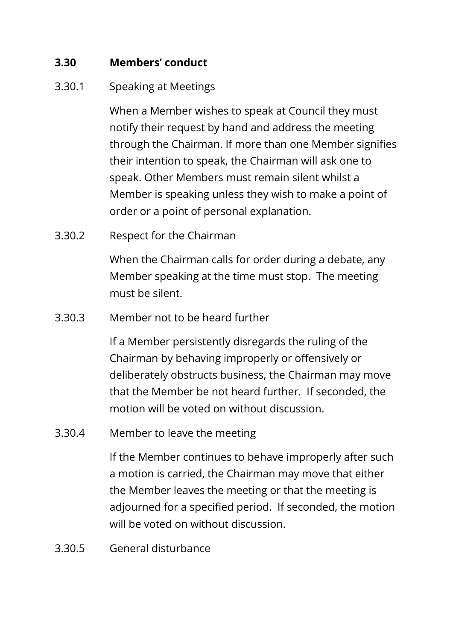#### **3.30 Members' conduct**

#### 3.30.1 Speaking at Meetings

When a Member wishes to speak at Council they must notify their request by hand and address the meeting through the Chairman. If more than one Member signifies their intention to speak, the Chairman will ask one to speak. Other Members must remain silent whilst a Member is speaking unless they wish to make a point of order or a point of personal explanation.

3.30.2 Respect for the Chairman

When the Chairman calls for order during a debate, any Member speaking at the time must stop. The meeting must be silent.

3.30.3 Member not to be heard further

If a Member persistently disregards the ruling of the Chairman by behaving improperly or offensively or deliberately obstructs business, the Chairman may move that the Member be not heard further. If seconded, the motion will be voted on without discussion.

3.30.4 Member to leave the meeting

If the Member continues to behave improperly after such a motion is carried, the Chairman may move that either the Member leaves the meeting or that the meeting is adjourned for a specified period. If seconded, the motion will be voted on without discussion.

3.30.5 General disturbance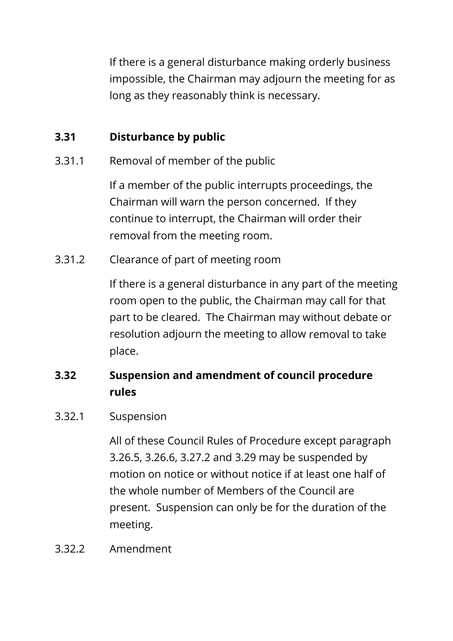If there is a general disturbance making orderly business impossible, the Chairman may adjourn the meeting for as long as they reasonably think is necessary.

## **3.31 Disturbance by public**

3.31.1 Removal of member of the public

If a member of the public interrupts proceedings, the Chairman will warn the person concerned. If they continue to interrupt, the Chairman will order their removal from the meeting room.

3.31.2 Clearance of part of meeting room

If there is a general disturbance in any part of the meeting room open to the public, the Chairman may call for that part to be cleared. The Chairman may without debate or resolution adjourn the meeting to allow removal to take place.

# **3.32 Suspension and amendment of council procedure rules**

#### 3.32.1 Suspension

All of these Council Rules of Procedure except paragraph 3.26.5, 3.26.6, 3.27.2 and 3.29 may be suspended by motion on notice or without notice if at least one half of the whole number of Members of the Council are present. Suspension can only be for the duration of the meeting.

#### 3.32.2 Amendment